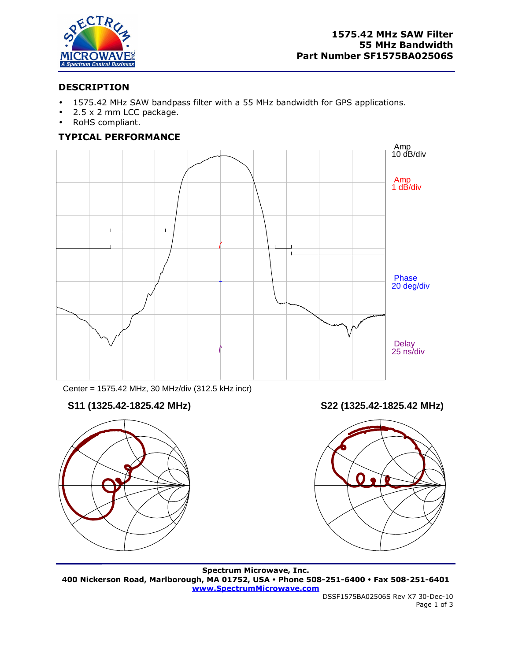

# **DESCRIPTION**

- 1575.42 MHz SAW bandpass filter with a 55 MHz bandwidth for GPS applications.
- 2.5 x 2 mm LCC package.
- RoHS compliant.

# **TYPICAL PERFORMANCE**



Center = 1575.42 MHz, 30 MHz/div (312.5 kHz incr)



**S11 (1325.42-1825.42 MHz) S22 (1325.42-1825.42 MHz)** 



**Spectrum Microwave, Inc. 400 Nickerson Road, Marlborough, MA 01752, USA Phone 508-251-6400 Fax 508-251-6401 www.SpectrumMicrowave.com**

 DSSF1575BA02506S Rev X7 30-Dec-10 Page 1 of 3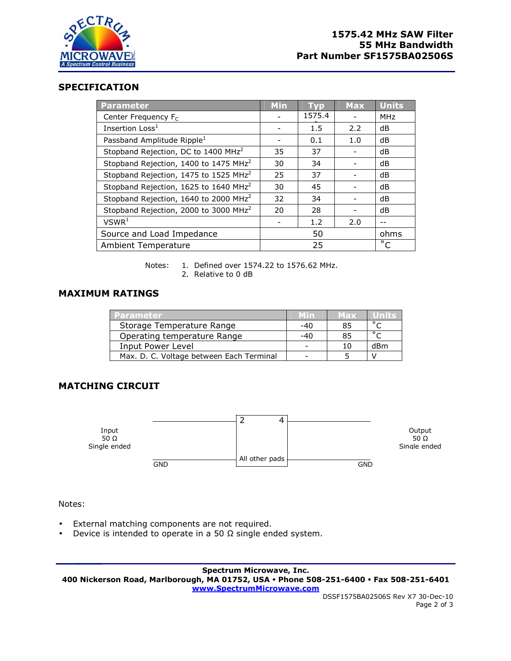

## **SPECIFICATION**

| <b>Parameter</b>                                  | <b>Min</b> | <b>TVD</b> | <b>Max</b> | <b>Units</b> |
|---------------------------------------------------|------------|------------|------------|--------------|
| Center Frequency F <sub>C</sub>                   |            | 1575.4     |            | <b>MHz</b>   |
| Insertion Loss <sup>1</sup>                       |            | 1.5        | 2.2        | dB           |
| Passband Amplitude Ripple <sup>1</sup>            |            | 0.1        | 1.0        | dB           |
| Stopband Rejection, DC to 1400 MHz <sup>2</sup>   | 35         | 37         |            | dB           |
| Stopband Rejection, 1400 to 1475 MHz <sup>2</sup> | 30         | 34         |            | dB           |
| Stopband Rejection, 1475 to 1525 MHz <sup>2</sup> | 25         | 37         |            | dB           |
| Stopband Rejection, 1625 to 1640 MHz <sup>2</sup> | 30         | 45         |            | dB           |
| Stopband Rejection, 1640 to 2000 MHz <sup>2</sup> | 32         | 34         |            | dB           |
| Stopband Rejection, 2000 to 3000 MHz <sup>2</sup> | 20         | 28         |            | dB           |
| VSWR <sup>1</sup>                                 |            | 1.2        | 2.0        |              |
| Source and Load Impedance                         | 50         |            |            | ohms         |
| Ambient Temperature                               |            | 25         |            | $^{\circ}$ C |

Notes: 1. Defined over 1574.22 to 1576.62 MHz. 2. Relative to 0 dB

#### **MAXIMUM RATINGS**

| <b>Parameter</b>                         |                          | Max |                |
|------------------------------------------|--------------------------|-----|----------------|
| Storage Temperature Range                | -40                      | 85  | $\circ$ $\sim$ |
| Operating temperature Range              | $-40$                    | 85  | $\circ$ $\sim$ |
| Input Power Level                        | $\overline{\phantom{0}}$ | 10  | dBm            |
| Max. D. C. Voltage between Each Terminal |                          |     |                |

## **MATCHING CIRCUIT**



Notes:

- External matching components are not required.
- Device is intended to operate in a 50  $\Omega$  single ended system.

**Spectrum Microwave, Inc. 400 Nickerson Road, Marlborough, MA 01752, USA Phone 508-251-6400 Fax 508-251-6401 www.SpectrumMicrowave.com**

 DSSF1575BA02506S Rev X7 30-Dec-10 Page 2 of 3